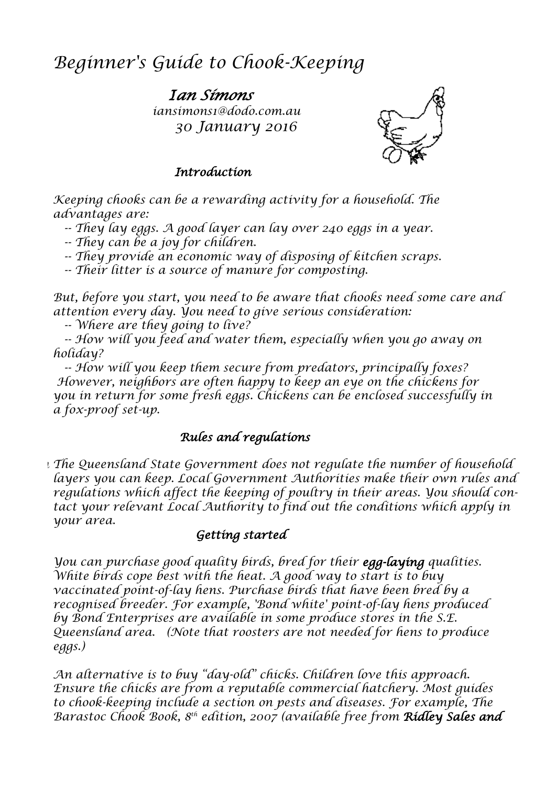# *Beginner's Guide to Chook-Keeping*

*Ian Simons iansimons1@dodo.com.au 30 January 2016*



#### *Introduction*

*Keeping chooks can be a rewarding activity for a household. The advantages are:*

 *-- They lay eggs. A good layer can lay over 240 eggs in a year. -- They can be a joy for children.*

 *-- They provide an economic way of disposing of kitchen scraps.*

 *-- Their litter is a source of manure for composting.* 

*But, before you start, you need to be aware that chooks need some care and attention every day. You need to give serious consideration:*

 *-- Where are they going to live?*

 *-- How will you feed and water them, especially when you go away on holiday?*

 *-- How will you keep them secure from predators, principally foxes? However, neighbors are often happy to keep an eye on the chickens for you in return for some fresh eggs. Chickens can be enclosed successfully in a fox-proof set-up.*

# *Rules and regulations*

*In The Queensland State Government does not regulate the number of household layers you can keep. Local Government Authorities make their own rules and regulations which affect the keeping of poultry in their areas. You should contact your relevant Local Authority to find out the conditions which apply in your area.*

### *Getting started*

*You can purchase good quality birds, bred for their egg-laying qualities. White birds cope best with the heat. A good way to start is to buy vaccinated point-of-lay hens. Purchase birds that have been bred by a recognised breeder. For example, 'Bond white' point-of-lay hens produced by Bond Enterprises are available in some produce stores in the S.E. Queensland area. (Note that roosters are not needed for hens to produce eggs.)*

*An alternative is to buy "day-old" chicks. Children love this approach. Ensure the chicks are from a reputable commercial hatchery. Most guides to chook-keeping include a section on pests and diseases. For example, The Barastoc Chook Book, 8 th edition, 2007 (available free from Ridley Sales and*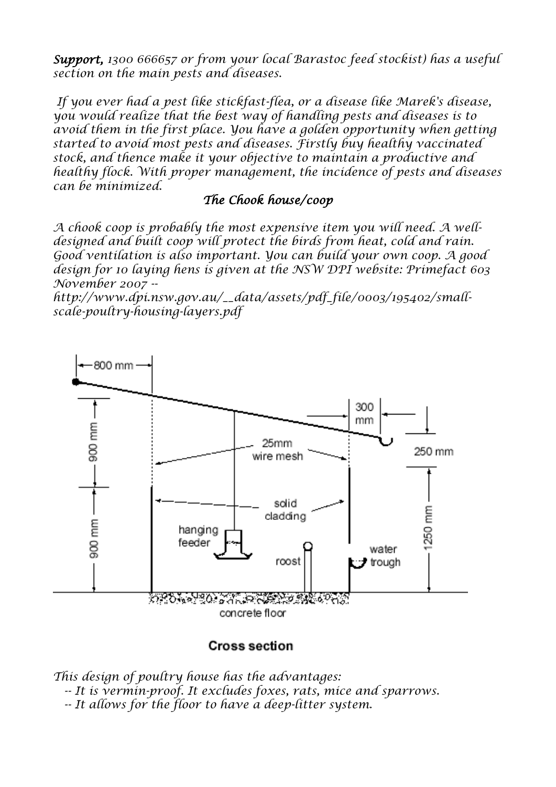*Support, 1300 666657 or from your local Barastoc feed stockist) has a useful section on the main pests and diseases.*

*If you ever had a pest like stickfast-flea, or a disease like Marek's disease, you would realize that the best way of handling pests and diseases is to*  avoid them in the first place. You have a golden opportunity when getting *started to avoid most pests and diseases. Firstly buy healthy vaccinated stock, and thence make it your objective to maintain a productive and healthy flock. With proper management, the incidence of pests and diseases can be minimized.*

#### *The Chook house/coop*

*A chook coop is probably the most expensive item you will need. A welldesigned and built coop will protect the birds from heat, cold and rain. Good ventilation is also important. You can build your own coop. A good design for 10 laying hens is given at the NSW DPI website: Primefact 603 November 2007 --*

*[http://www.dpi.nsw.gov.au/\\_\\_data/assets/pdf\\_file/0003/195402/small](http://www.dpi.nsw.gov.au/__data/assets/pdf_file/0003/195402/small-scale-poultry-housing-layers.pdf)[scale-poultry-housing-layers.pdf](http://www.dpi.nsw.gov.au/__data/assets/pdf_file/0003/195402/small-scale-poultry-housing-layers.pdf)*



#### **Cross section**

*This design of poultry house has the advantages: -- It is vermin-proof. It excludes foxes, rats, mice and sparrows. -- It allows for the floor to have a deep-litter system.*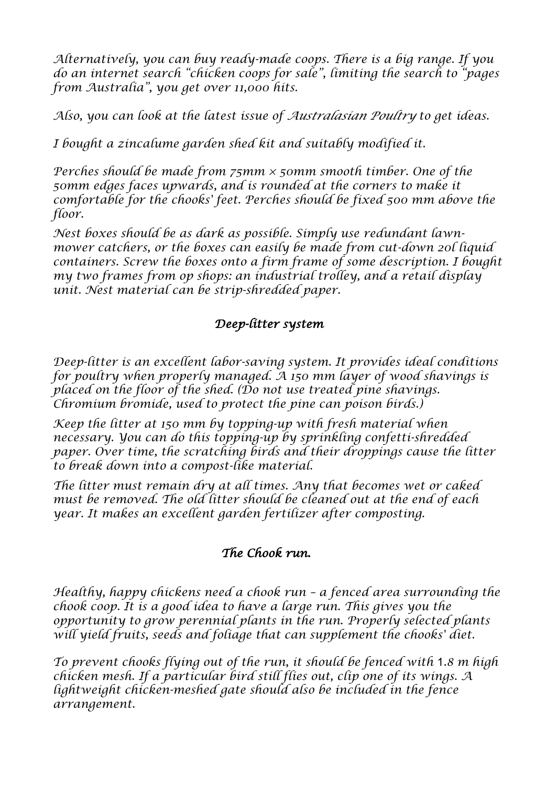*Alternatively, you can buy ready-made coops. There is a big range. If you do an internet search "chicken coops for sale", limiting the search to "pages from Australia", you get over 11,000 hits.*

*Also, you can look at the latest issue of Australasian Poultry to get ideas.*

*I bought a zincalume garden shed kit and suitably modified it.* 

*Perches should be made from 75mm × 50mm smooth timber. One of the 50mm edges faces upwards, and is rounded at the corners to make it comfortable for the chooks' feet. Perches should be fixed 500 mm above the floor.*

*Nest boxes should be as dark as possible. Simply use redundant lawnmower catchers, or the boxes can easily be made from cut-down 20l liquid containers. Screw the boxes onto a firm frame of some description. I bought my two frames from op shops: an industrial trolley, and a retail display unit. Nest material can be strip-shredded paper.* 

## *Deep-litter system*

*Deep-litter is an excellent labor-saving system. It provides ideal conditions for poultry when properly managed. A 150 mm layer of wood shavings is placed on the floor of the shed. (Do not use treated pine shavings. Chromium bromide, used to protect the pine can poison birds.)*

*Keep the litter at 150 mm by topping-up with fresh material when necessary. You can do this topping-up by sprinkling confetti-shredded paper. Over time, the scratching birds and their droppings cause the litter to break down into a compost-like material.*

*The litter must remain dry at all times. Any that becomes wet or caked must be removed. The old litter should be cleaned out at the end of each year. It makes an excellent garden fertilizer after composting.*

# *The Chook run.*

*Healthy, happy chickens need a chook run – a fenced area surrounding the chook coop. It is a good idea to have a large run. This gives you the opportunity to grow perennial plants in the run. Properly selected plants will yield fruits, seeds and foliage that can supplement the chooks' diet.*

*To prevent chooks flying out of the run, it should be fenced with* 1*.8 m high chicken mesh. If a particular bird still flies out, clip one of its wings. A lightweight chicken-meshed gate should also be included in the fence arrangement.*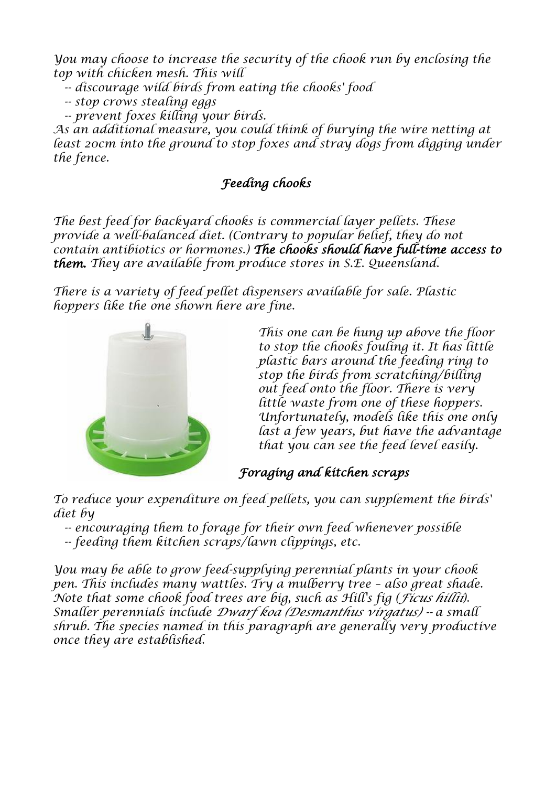*You may choose to increase the security of the chook run by enclosing the top with chicken mesh. This will*

- *-- discourage wild birds from eating the chooks' food*
- *-- stop crows stealing eggs*
- *-- prevent foxes killing your birds.*

*As an additional measure, you could think of burying the wire netting at*  least 20cm into the ground to stop foxes and stray dogs from digging under *the fence.*

# *Feeding chooks*

*The best feed for backyard chooks is commercial layer pellets. These provide a well-balanced diet. (Contrary to popular belief, they do not contain antibiotics or hormones.) The chooks should have full-time access to them. They are available from produce stores in S.E. Queensland.*

*There is a variety of feed pellet dispensers available for sale. Plastic hoppers like the one shown here are fine.*



*This one can be hung up above the floor to stop the chooks fouling it. It has little plastic bars around the feeding ring to stop the birds from scratching/billing out feed onto the floor. There is very little waste from one of these hoppers. Unfortunately, models like this one only last a few years, but have the advantage that you can see the feed level easily.*

# *Foraging and kitchen scraps*

*To reduce your expenditure on feed pellets, you can supplement the birds' diet by*

 *-- encouraging them to forage for their own feed whenever possible -- feeding them kitchen scraps/lawn clippings, etc.*

*You may be able to grow feed-supplying perennial plants in your chook pen. This includes many wattles. Try a mulberry tree - also great shade. Note that some chook food trees are big, such as Hill's fig (Ficus hillii). Smaller perennials include Dwarf koa (Desmanthus virgatus) -- a small shrub. The species named in this paragraph are generally very productive once they are established.*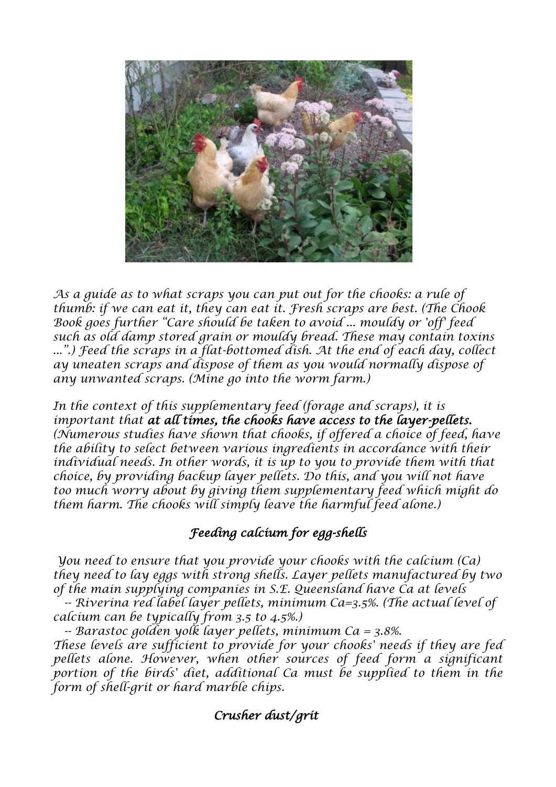

*As a guide as to what scraps you can put out for the chooks: a rule of thumb: if we can eat it, they can eat it. Fresh scraps are best. (The Chook Book goes further "Care should be taken to avoid ... mouldy or 'off' feed such as old damp stored grain or mouldy bread. These may contain toxins ...".) Feed the scraps in a flat-bottomed dish. At the end of each day, collect ay uneaten scraps and dispose of them as you would normally dispose of any unwanted scraps. (Mine go into the worm farm.)* 

*In the context of this supplementary feed (forage and scraps), it is important that at all times, the chooks have access to the layer-pellets. (Numerous studies have shown that chooks, if offered a choice of feed, have the ability to select between various ingredients in accordance with their*  individual needs. In other words, it is up to you to provide them with that *choice, by providing backup layer pellets. Do this, and you will not have too much worry about by giving them supplementary feed which might do them harm. The chooks will simply leave the harmful feed alone.)*

# *Feeding calcium for egg-shells*

*You need to ensure that you provide your chooks with the calcium (Ca) they need to lay eggs with strong shells. Layer pellets manufactured by two of the main supplying companies in S.E. Queensland have Ca at levels*

 *-- Riverina red label layer pellets, minimum Ca=3.5%. (The actual level of calcium can be typically from 3.5 to 4.5%.)*

 *-- Barastoc golden yolk layer pellets, minimum Ca = 3.8%. These levels are sufficient to provide for your chooks' needs if they are fed pellets alone. However, when other sources of feed form a significant*  portion of the birds' diet, additional Ca must be supplied to them in the *form of shell-grit or hard marble chips.*

### *Crusher dust/grit*